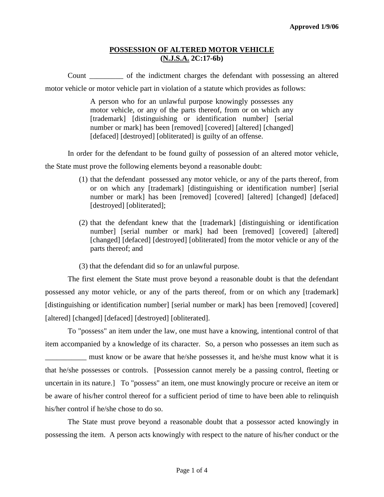### **POSSESSION OF ALTERED MOTOR VEHICLE (N.J.S.A. 2C:17-6b)**

Count \_\_\_\_\_\_\_\_\_ of the indictment charges the defendant with possessing an altered motor vehicle or motor vehicle part in violation of a statute which provides as follows:

> A person who for an unlawful purpose knowingly possesses any motor vehicle, or any of the parts thereof, from or on which any [trademark] [distinguishing or identification number] [serial] number or mark] has been [removed] [covered] [altered] [changed] [defaced] [destroyed] [obliterated] is guilty of an offense.

In order for the defendant to be found guilty of possession of an altered motor vehicle,

the State must prove the following elements beyond a reasonable doubt:

- (1) that the defendant possessed any motor vehicle, or any of the parts thereof, from or on which any [trademark] [distinguishing or identification number] [serial number or mark] has been [removed] [covered] [altered] [changed] [defaced] [destroyed] [obliterated];
- (2) that the defendant knew that the [trademark] [distinguishing or identification number] [serial number or mark] had been [removed] [covered] [altered] [changed] [defaced] [destroyed] [obliterated] from the motor vehicle or any of the parts thereof; and

(3) that the defendant did so for an unlawful purpose.

The first element the State must prove beyond a reasonable doubt is that the defendant possessed any motor vehicle, or any of the parts thereof, from or on which any [trademark] [distinguishing or identification number] [serial number or mark] has been [removed] [covered] [altered] [changed] [defaced] [destroyed] [obliterated].

To "possess" an item under the law, one must have a knowing, intentional control of that item accompanied by a knowledge of its character. So, a person who possesses an item such as \_\_\_\_\_\_\_\_\_\_\_ must know or be aware that he/she possesses it, and he/she must know what it is that he/she possesses or controls. [Possession cannot merely be a passing control, fleeting or uncertain in its nature.] To "possess" an item, one must knowingly procure or receive an item or

be aware of his/her control thereof for a sufficient period of time to have been able to relinquish his/her control if he/she chose to do so.

<span id="page-0-0"></span>The State must prove beyond a reasonable doubt that a possessor acted knowingly in possessing the item. A person acts knowingly with respect to the nature of his/her conduct or the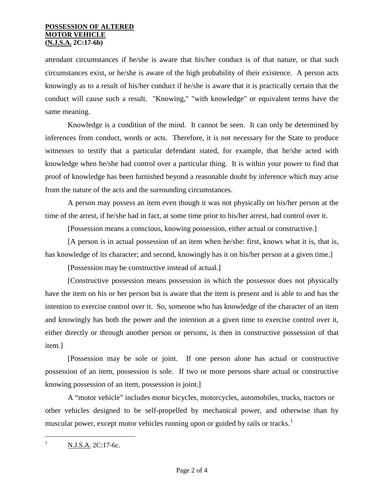attendant circumstances if he/she is aware that his/her conduct is of that nature, or that such circumstances exist, or he/she is aware of the high probability of their existence. A person acts knowingly as to a result of his/her conduct if he/she is aware that it is practically certain that the conduct will cause such a result. "Knowing," "with knowledge" or equivalent terms have the same meaning.

Knowledge is a condition of the mind. It cannot be seen. It can only be determined by inferences from conduct, words or acts. Therefore, it is not necessary for the State to produce witnesses to testify that a particular defendant stated, for example, that he/she acted with knowledge when he/she had control over a particular thing. It is within your power to find that proof of knowledge has been furnished beyond a reasonable doubt by inference which may arise from the nature of the acts and the surrounding circumstances.

A person may possess an item even though it was not physically on his/her person at the time of the arrest, if he/she had in fact, at some time prior to his/her arrest, had control over it.

[Possession means a conscious, knowing possession, either actual or constructive.]

[A person is in actual possession of an item when he/she: first, knows what it is, that is, has knowledge of its character; and second, knowingly has it on his/her person at a given time.]

[Possession may be constructive instead of actual.]

[Constructive possession means possession in which the possessor does not physically have the item on his or her person but is aware that the item is present and is able to and has the intention to exercise control over it. So, someone who has knowledge of the character of an item and knowingly has both the power and the intention at a given time to exercise control over it, either directly or through another person or persons, is then in constructive possession of that item.]

[Possession may be sole or joint. If one person alone has actual or constructive possession of an item, possession is sole. If two or more persons share actual or constructive knowing possession of an item, possession is joint.]

A "motor vehicle" includes motor bicycles, motorcycles, automobiles, trucks, tractors or other vehicles designed to be self-propelled by mechanical power, and otherwise than by muscular power, except motor vehicles running upon or guided by rails or tracks.<sup>[1](#page-0-0)</sup>

<span id="page-1-0"></span> $\frac{1}{1}$ N.J.S.A. 2C:17-6c.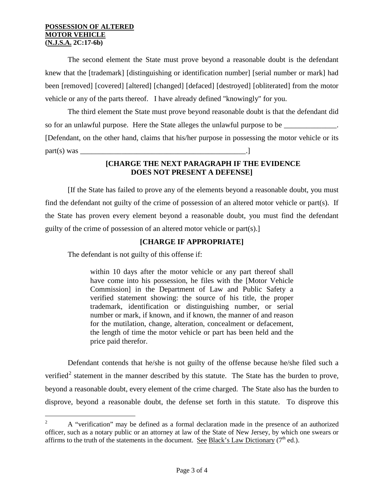### **POSSESSION OF ALTERED MOTOR VEHICLE (N.J.S.A. 2C:17-6b)**

The second element the State must prove beyond a reasonable doubt is the defendant knew that the [trademark] [distinguishing or identification number] [serial number or mark] had been [removed] [covered] [altered] [changed] [defaced] [destroyed] [obliterated] from the motor vehicle or any of the parts thereof. I have already defined "knowingly" for you.

The third element the State must prove beyond reasonable doubt is that the defendant did so for an unlawful purpose. Here the State alleges the unlawful purpose to be [Defendant, on the other hand, claims that his/her purpose in possessing the motor vehicle or its part(s) was \_\_\_\_\_\_\_\_\_\_\_\_\_\_\_\_\_\_\_\_\_\_\_\_\_\_\_\_\_\_\_\_\_\_\_\_\_\_\_\_\_\_\_\_.]

# **[CHARGE THE NEXT PARAGRAPH IF THE EVIDENCE DOES NOT PRESENT A DEFENSE]**

[If the State has failed to prove any of the elements beyond a reasonable doubt, you must find the defendant not guilty of the crime of possession of an altered motor vehicle or part(s). If the State has proven every element beyond a reasonable doubt, you must find the defendant guilty of the crime of possession of an altered motor vehicle or part(s).]

## **[CHARGE IF APPROPRIATE]**

The defendant is not guilty of this offense if:

within 10 days after the motor vehicle or any part thereof shall have come into his possession, he files with the [Motor Vehicle Commission] in the Department of Law and Public Safety a verified statement showing: the source of his title, the proper trademark, identification or distinguishing number, or serial number or mark, if known, and if known, the manner of and reason for the mutilation, change, alteration, concealment or defacement, the length of time the motor vehicle or part has been held and the price paid therefor.

Defendant contends that he/she is not guilty of the offense because he/she filed such a verified<sup>[2](#page-1-0)</sup> statement in the manner described by this statute. The State has the burden to prove, beyond a reasonable doubt, every element of the crime charged. The State also has the burden to disprove, beyond a reasonable doubt, the defense set forth in this statute. To disprove this

<span id="page-2-0"></span> $\overline{2}$  A "verification" may be defined as a formal declaration made in the presence of an authorized officer, such as a notary public or an attorney at law of the State of New Jersey, by which one swears or affirms to the truth of the statements in the document. See Black's Law Dictionary  $(7<sup>th</sup>$  ed.).